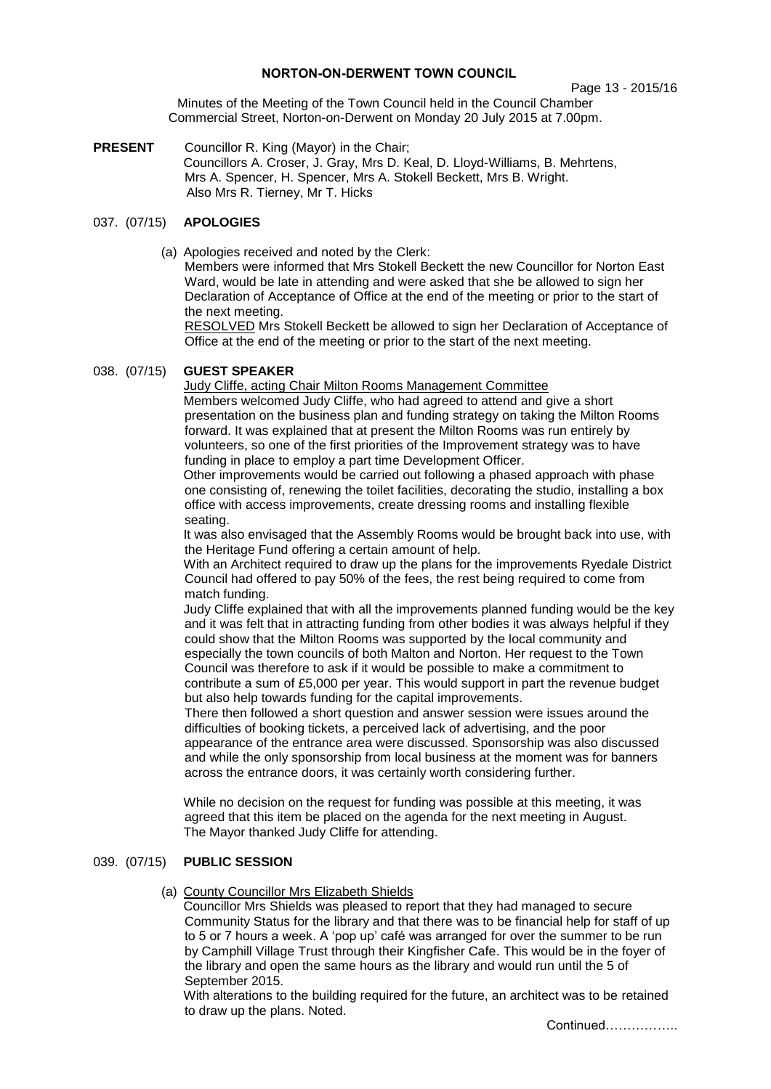# **NORTON-ON-DERWENT TOWN COUNCIL**

#### Page 13 - 2015/16

Minutes of the Meeting of the Town Council held in the Council Chamber Commercial Street, Norton-on-Derwent on Monday 20 July 2015 at 7.00pm.

**PRESENT** Councillor R. King (Mayor) in the Chair; Councillors A. Croser, J. Gray, Mrs D. Keal, D. Lloyd-Williams, B. Mehrtens, Mrs A. Spencer, H. Spencer, Mrs A. Stokell Beckett, Mrs B. Wright. Also Mrs R. Tierney, Mr T. Hicks

# 037. (07/15) **APOLOGIES**

(a) Apologies received and noted by the Clerk:

Members were informed that Mrs Stokell Beckett the new Councillor for Norton East Ward, would be late in attending and were asked that she be allowed to sign her Declaration of Acceptance of Office at the end of the meeting or prior to the start of the next meeting.

RESOLVED Mrs Stokell Beckett be allowed to sign her Declaration of Acceptance of Office at the end of the meeting or prior to the start of the next meeting.

#### 038. (07/15) **GUEST SPEAKER**

Judy Cliffe, acting Chair Milton Rooms Management Committee Members welcomed Judy Cliffe, who had agreed to attend and give a short presentation on the business plan and funding strategy on taking the Milton Rooms forward. It was explained that at present the Milton Rooms was run entirely by volunteers, so one of the first priorities of the Improvement strategy was to have funding in place to employ a part time Development Officer.

Other improvements would be carried out following a phased approach with phase one consisting of, renewing the toilet facilities, decorating the studio, installing a box office with access improvements, create dressing rooms and installing flexible seating.

It was also envisaged that the Assembly Rooms would be brought back into use, with the Heritage Fund offering a certain amount of help.

With an Architect required to draw up the plans for the improvements Ryedale District Council had offered to pay 50% of the fees, the rest being required to come from match funding.

Judy Cliffe explained that with all the improvements planned funding would be the key and it was felt that in attracting funding from other bodies it was always helpful if they could show that the Milton Rooms was supported by the local community and especially the town councils of both Malton and Norton. Her request to the Town Council was therefore to ask if it would be possible to make a commitment to contribute a sum of £5,000 per year. This would support in part the revenue budget but also help towards funding for the capital improvements.

There then followed a short question and answer session were issues around the difficulties of booking tickets, a perceived lack of advertising, and the poor appearance of the entrance area were discussed. Sponsorship was also discussed and while the only sponsorship from local business at the moment was for banners across the entrance doors, it was certainly worth considering further.

While no decision on the request for funding was possible at this meeting, it was agreed that this item be placed on the agenda for the next meeting in August. The Mayor thanked Judy Cliffe for attending.

# 039. (07/15) **PUBLIC SESSION**

(a) County Councillor Mrs Elizabeth Shields

Councillor Mrs Shields was pleased to report that they had managed to secure Community Status for the library and that there was to be financial help for staff of up to 5 or 7 hours a week. A 'pop up' café was arranged for over the summer to be run by Camphill Village Trust through their Kingfisher Cafe. This would be in the foyer of the library and open the same hours as the library and would run until the 5 of September 2015.

With alterations to the building required for the future, an architect was to be retained to draw up the plans. Noted.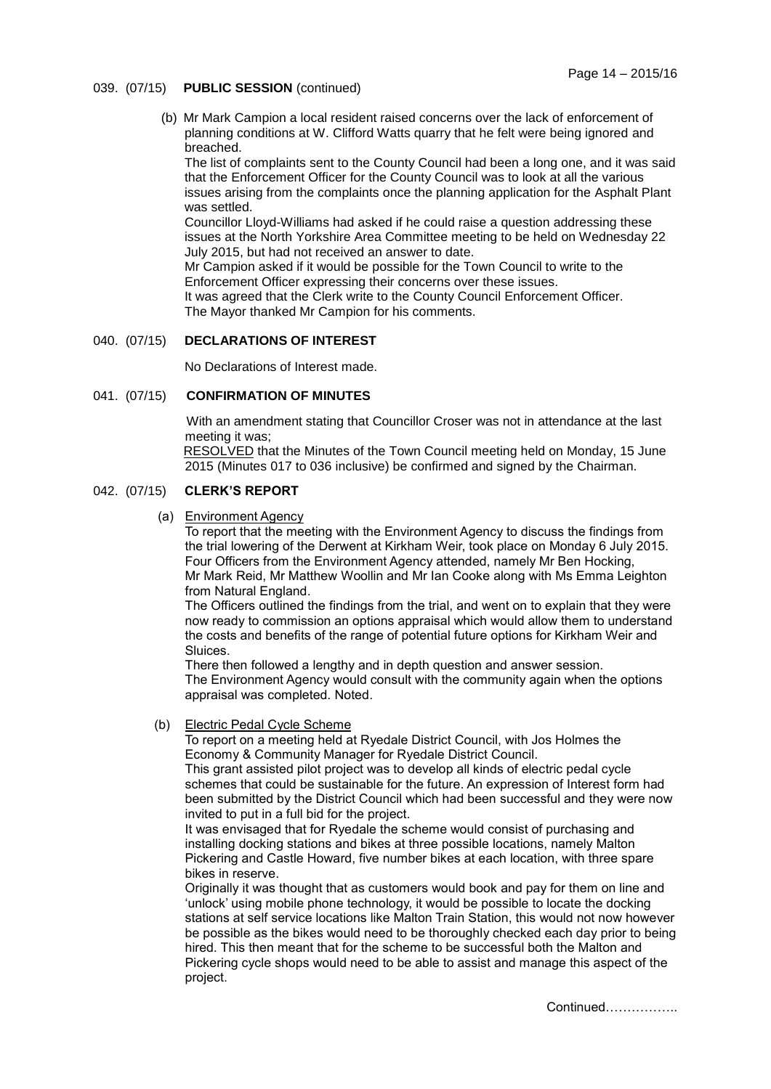- 039. (07/15) **PUBLIC SESSION** (continued)
	- (b) Mr Mark Campion a local resident raised concerns over the lack of enforcement of planning conditions at W. Clifford Watts quarry that he felt were being ignored and breached.

The list of complaints sent to the County Council had been a long one, and it was said that the Enforcement Officer for the County Council was to look at all the various issues arising from the complaints once the planning application for the Asphalt Plant was settled.

Councillor Lloyd-Williams had asked if he could raise a question addressing these issues at the North Yorkshire Area Committee meeting to be held on Wednesday 22 July 2015, but had not received an answer to date.

Mr Campion asked if it would be possible for the Town Council to write to the Enforcement Officer expressing their concerns over these issues.

It was agreed that the Clerk write to the County Council Enforcement Officer. The Mayor thanked Mr Campion for his comments.

#### 040. (07/15) **DECLARATIONS OF INTEREST**

No Declarations of Interest made.

# 041. (07/15) **CONFIRMATION OF MINUTES**

With an amendment stating that Councillor Croser was not in attendance at the last meeting it was;

 RESOLVED that the Minutes of the Town Council meeting held on Monday, 15 June 2015 (Minutes 017 to 036 inclusive) be confirmed and signed by the Chairman.

## 042. (07/15) **CLERK'S REPORT**

(a) Environment Agency

To report that the meeting with the Environment Agency to discuss the findings from the trial lowering of the Derwent at Kirkham Weir, took place on Monday 6 July 2015. Four Officers from the Environment Agency attended, namely Mr Ben Hocking, Mr Mark Reid, Mr Matthew Woollin and Mr Ian Cooke along with Ms Emma Leighton from Natural England.

The Officers outlined the findings from the trial, and went on to explain that they were now ready to commission an options appraisal which would allow them to understand the costs and benefits of the range of potential future options for Kirkham Weir and Sluices.

There then followed a lengthy and in depth question and answer session. The Environment Agency would consult with the community again when the options appraisal was completed. Noted.

#### (b) Electric Pedal Cycle Scheme

To report on a meeting held at Ryedale District Council, with Jos Holmes the Economy & Community Manager for Ryedale District Council.

This grant assisted pilot project was to develop all kinds of electric pedal cycle schemes that could be sustainable for the future. An expression of Interest form had been submitted by the District Council which had been successful and they were now invited to put in a full bid for the project.

It was envisaged that for Ryedale the scheme would consist of purchasing and installing docking stations and bikes at three possible locations, namely Malton Pickering and Castle Howard, five number bikes at each location, with three spare bikes in reserve.

Originally it was thought that as customers would book and pay for them on line and 'unlock' using mobile phone technology, it would be possible to locate the docking stations at self service locations like Malton Train Station, this would not now however be possible as the bikes would need to be thoroughly checked each day prior to being hired. This then meant that for the scheme to be successful both the Malton and Pickering cycle shops would need to be able to assist and manage this aspect of the project.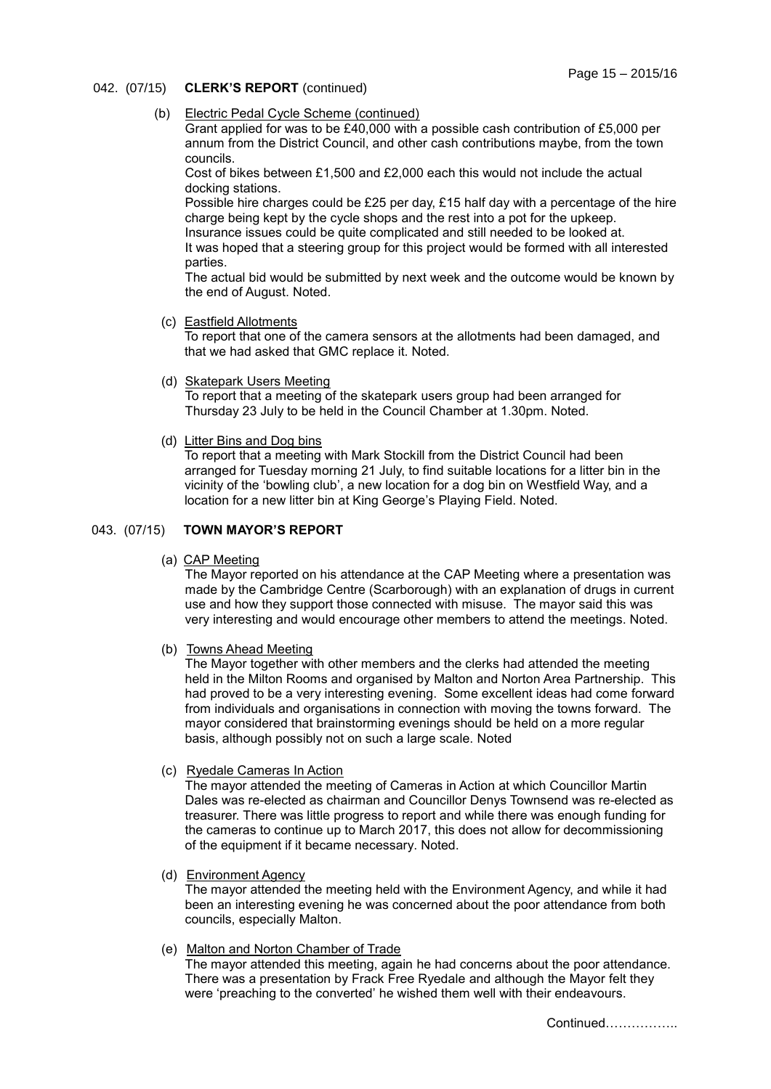- 042. (07/15) **CLERK'S REPORT** (continued)
	- (b) Electric Pedal Cycle Scheme (continued)

Grant applied for was to be £40,000 with a possible cash contribution of £5,000 per annum from the District Council, and other cash contributions maybe, from the town councils.

Cost of bikes between £1,500 and £2,000 each this would not include the actual docking stations.

Possible hire charges could be £25 per day, £15 half day with a percentage of the hire charge being kept by the cycle shops and the rest into a pot for the upkeep. Insurance issues could be quite complicated and still needed to be looked at.

It was hoped that a steering group for this project would be formed with all interested parties.

The actual bid would be submitted by next week and the outcome would be known by the end of August. Noted.

(c) Eastfield Allotments

To report that one of the camera sensors at the allotments had been damaged, and that we had asked that GMC replace it. Noted.

(d) Skatepark Users Meeting

To report that a meeting of the skatepark users group had been arranged for Thursday 23 July to be held in the Council Chamber at 1.30pm. Noted.

(d) Litter Bins and Dog bins

To report that a meeting with Mark Stockill from the District Council had been arranged for Tuesday morning 21 July, to find suitable locations for a litter bin in the vicinity of the 'bowling club', a new location for a dog bin on Westfield Way, and a location for a new litter bin at King George's Playing Field. Noted.

# 043. (07/15) **TOWN MAYOR'S REPORT**

(a) CAP Meeting

The Mayor reported on his attendance at the CAP Meeting where a presentation was made by the Cambridge Centre (Scarborough) with an explanation of drugs in current use and how they support those connected with misuse. The mayor said this was very interesting and would encourage other members to attend the meetings. Noted.

(b) Towns Ahead Meeting

The Mayor together with other members and the clerks had attended the meeting held in the Milton Rooms and organised by Malton and Norton Area Partnership. This had proved to be a very interesting evening. Some excellent ideas had come forward from individuals and organisations in connection with moving the towns forward. The mayor considered that brainstorming evenings should be held on a more regular basis, although possibly not on such a large scale. Noted

(c) Ryedale Cameras In Action

The mayor attended the meeting of Cameras in Action at which Councillor Martin Dales was re-elected as chairman and Councillor Denys Townsend was re-elected as treasurer. There was little progress to report and while there was enough funding for the cameras to continue up to March 2017, this does not allow for decommissioning of the equipment if it became necessary. Noted.

(d) Environment Agency

The mayor attended the meeting held with the Environment Agency, and while it had been an interesting evening he was concerned about the poor attendance from both councils, especially Malton.

(e) Malton and Norton Chamber of Trade

The mayor attended this meeting, again he had concerns about the poor attendance. There was a presentation by Frack Free Ryedale and although the Mayor felt they were 'preaching to the converted' he wished them well with their endeavours.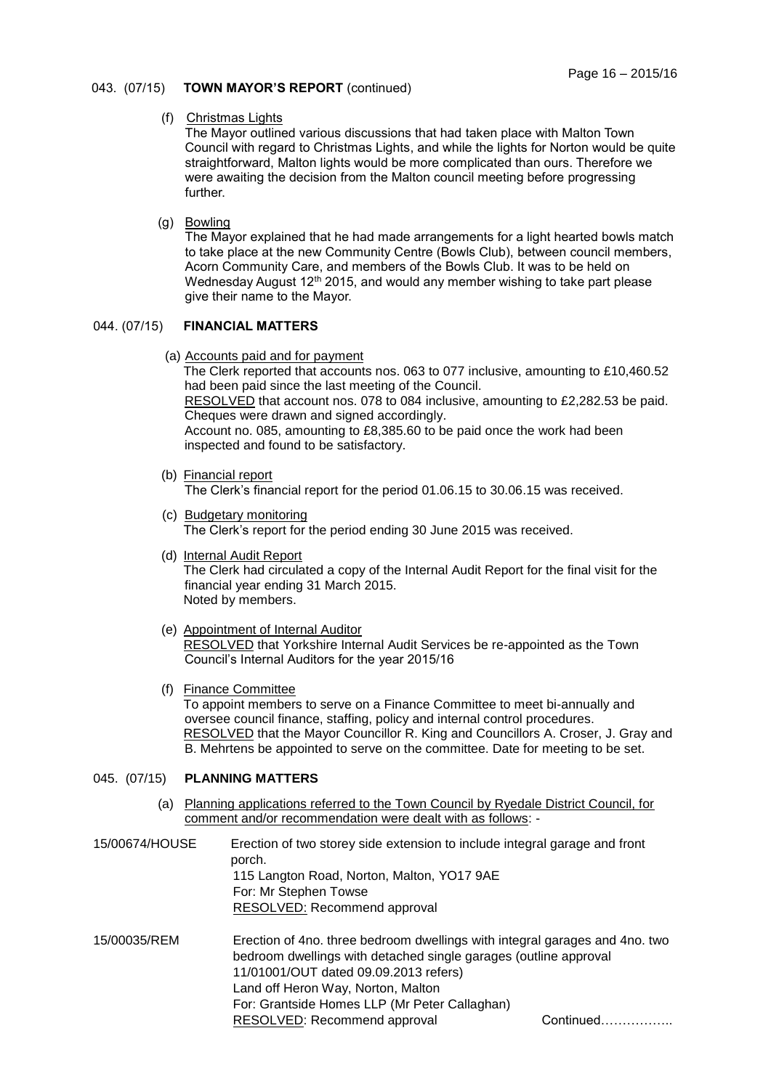# 043. (07/15) **TOWN MAYOR'S REPORT** (continued)

#### (f) Christmas Lights

The Mayor outlined various discussions that had taken place with Malton Town Council with regard to Christmas Lights, and while the lights for Norton would be quite straightforward, Malton lights would be more complicated than ours. Therefore we were awaiting the decision from the Malton council meeting before progressing further.

(g) Bowling

The Mayor explained that he had made arrangements for a light hearted bowls match to take place at the new Community Centre (Bowls Club), between council members, Acorn Community Care, and members of the Bowls Club. It was to be held on Wednesday August 12<sup>th</sup> 2015, and would any member wishing to take part please give their name to the Mayor.

# 044. (07/15) **FINANCIAL MATTERS**

(a) Accounts paid and for payment

The Clerk reported that accounts nos. 063 to 077 inclusive, amounting to £10,460.52 had been paid since the last meeting of the Council.

 RESOLVED that account nos. 078 to 084 inclusive, amounting to £2,282.53 be paid. Cheques were drawn and signed accordingly.

Account no. 085, amounting to £8,385.60 to be paid once the work had been inspected and found to be satisfactory.

(b) Financial report

The Clerk's financial report for the period 01.06.15 to 30.06.15 was received.

- (c) Budgetary monitoring The Clerk's report for the period ending 30 June 2015 was received.
- (d) Internal Audit Report The Clerk had circulated a copy of the Internal Audit Report for the final visit for the financial year ending 31 March 2015. Noted by members.
- (e) Appointment of Internal Auditor RESOLVED that Yorkshire Internal Audit Services be re-appointed as the Town Council's Internal Auditors for the year 2015/16
- (f) Finance Committee

To appoint members to serve on a Finance Committee to meet bi-annually and oversee council finance, staffing, policy and internal control procedures. RESOLVED that the Mayor Councillor R. King and Councillors A. Croser, J. Gray and B. Mehrtens be appointed to serve on the committee. Date for meeting to be set.

# 045. (07/15) **PLANNING MATTERS**

- (a) Planning applications referred to the Town Council by Ryedale District Council, for comment and/or recommendation were dealt with as follows: -
- 15/00674/HOUSE Erection of two storey side extension to include integral garage and front porch. 115 Langton Road, Norton, Malton, YO17 9AE For: Mr Stephen Towse RESOLVED: Recommend approval
- 15/00035/REM Erection of 4no. three bedroom dwellings with integral garages and 4no. two bedroom dwellings with detached single garages (outline approval 11/01001/OUT dated 09.09.2013 refers) Land off Heron Way, Norton, Malton For: Grantside Homes LLP (Mr Peter Callaghan) RESOLVED: Recommend approval Continued……………..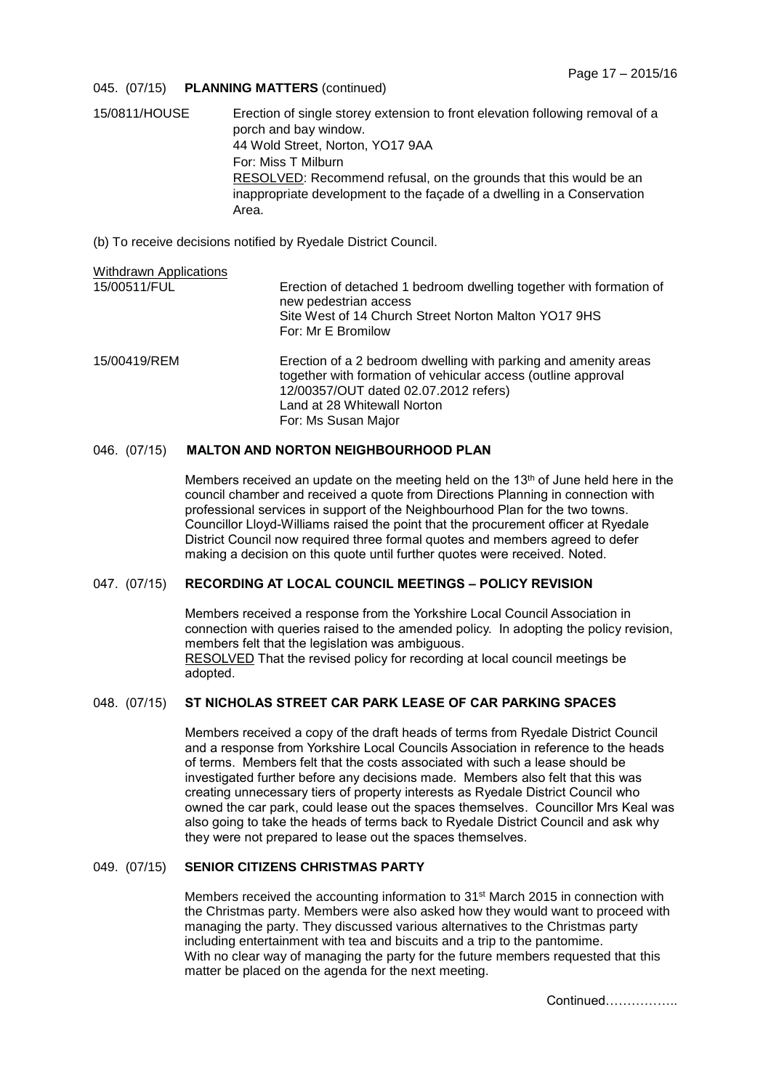#### 045. (07/15) **PLANNING MATTERS** (continued)

- 15/0811/HOUSE Erection of single storey extension to front elevation following removal of a porch and bay window. 44 Wold Street, Norton, YO17 9AA For: Miss T Milburn RESOLVED: Recommend refusal, on the grounds that this would be an inappropriate development to the façade of a dwelling in a Conservation Area.
- (b) To receive decisions notified by Ryedale District Council.

| <b>Withdrawn Applications</b> |                                                                                                                                                                                                                                 |
|-------------------------------|---------------------------------------------------------------------------------------------------------------------------------------------------------------------------------------------------------------------------------|
| 15/00511/FUL                  | Erection of detached 1 bedroom dwelling together with formation of<br>new pedestrian access<br>Site West of 14 Church Street Norton Malton YO17 9HS<br>For: Mr E Bromilow                                                       |
| 15/00419/REM                  | Erection of a 2 bedroom dwelling with parking and amenity areas<br>together with formation of vehicular access (outline approval<br>12/00357/OUT dated 02.07.2012 refers)<br>Land at 28 Whitewall Norton<br>For: Ms Susan Major |

# 046. (07/15) **MALTON AND NORTON NEIGHBOURHOOD PLAN**

Members received an update on the meeting held on the 13<sup>th</sup> of June held here in the council chamber and received a quote from Directions Planning in connection with professional services in support of the Neighbourhood Plan for the two towns. Councillor Lloyd-Williams raised the point that the procurement officer at Ryedale District Council now required three formal quotes and members agreed to defer making a decision on this quote until further quotes were received. Noted.

## 047. (07/15) **RECORDING AT LOCAL COUNCIL MEETINGS – POLICY REVISION**

Members received a response from the Yorkshire Local Council Association in connection with queries raised to the amended policy. In adopting the policy revision, members felt that the legislation was ambiguous. RESOLVED That the revised policy for recording at local council meetings be adopted.

# 048. (07/15) **ST NICHOLAS STREET CAR PARK LEASE OF CAR PARKING SPACES**

Members received a copy of the draft heads of terms from Ryedale District Council and a response from Yorkshire Local Councils Association in reference to the heads of terms. Members felt that the costs associated with such a lease should be investigated further before any decisions made. Members also felt that this was creating unnecessary tiers of property interests as Ryedale District Council who owned the car park, could lease out the spaces themselves. Councillor Mrs Keal was also going to take the heads of terms back to Ryedale District Council and ask why they were not prepared to lease out the spaces themselves.

#### 049. (07/15) **SENIOR CITIZENS CHRISTMAS PARTY**

Members received the accounting information to 31st March 2015 in connection with the Christmas party. Members were also asked how they would want to proceed with managing the party. They discussed various alternatives to the Christmas party including entertainment with tea and biscuits and a trip to the pantomime. With no clear way of managing the party for the future members requested that this matter be placed on the agenda for the next meeting.